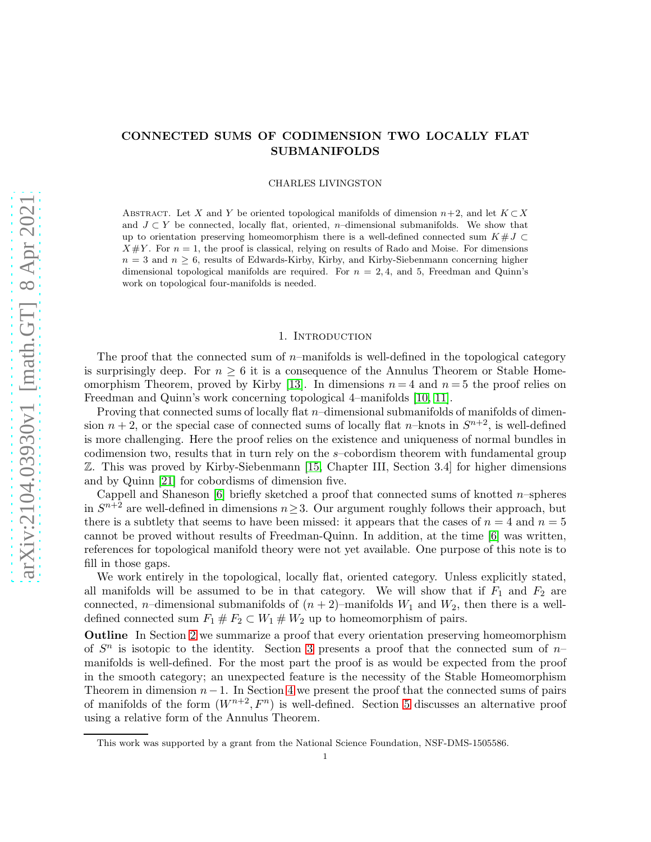# CONNECTED SUMS OF CODIMENSION TWO LOCALLY FLAT SUBMANIFOLDS

CHARLES LIVINGSTON

ABSTRACT. Let X and Y be oriented topological manifolds of dimension  $n+2$ , and let  $K \subset X$ and  $J \subset Y$  be connected, locally flat, oriented, n–dimensional submanifolds. We show that up to orientation preserving homeomorphism there is a well-defined connected sum  $K #J \subset$  $X \# Y$ . For  $n = 1$ , the proof is classical, relying on results of Rado and Moise. For dimensions  $n = 3$  and  $n \geq 6$ , results of Edwards-Kirby, Kirby, and Kirby-Siebenmann concerning higher dimensional topological manifolds are required. For  $n = 2, 4$ , and 5, Freedman and Quinn's work on topological four-manifolds is needed.

#### 1. Introduction

The proof that the connected sum of  $n$ –manifolds is well-defined in the topological category is surprisingly deep. For  $n \geq 6$  it is a consequence of the Annulus Theorem or Stable Home-omorphism Theorem, proved by Kirby [\[13\]](#page-8-0). In dimensions  $n = 4$  and  $n = 5$  the proof relies on Freedman and Quinn's work concerning topological 4–manifolds [\[10,](#page-8-1) [11\]](#page-8-2).

Proving that connected sums of locally flat  $n$ –dimensional submanifolds of manifolds of dimension  $n + 2$ , or the special case of connected sums of locally flat n-knots in  $S^{n+2}$ , is well-defined is more challenging. Here the proof relies on the existence and uniqueness of normal bundles in codimension two, results that in turn rely on the s–cobordism theorem with fundamental group Z. This was proved by Kirby-Siebenmann [\[15,](#page-9-0) Chapter III, Section 3.4] for higher dimensions and by Quinn [\[21\]](#page-9-1) for cobordisms of dimension five.

Cappell and Shaneson  $[6]$  briefly sketched a proof that connected sums of knotted n–spheres in  $S^{n+2}$  are well-defined in dimensions  $n \geq 3$ . Our argument roughly follows their approach, but there is a subtlety that seems to have been missed: it appears that the cases of  $n = 4$  and  $n = 5$ cannot be proved without results of Freedman-Quinn. In addition, at the time [\[6\]](#page-8-3) was written, references for topological manifold theory were not yet available. One purpose of this note is to fill in those gaps.

We work entirely in the topological, locally flat, oriented category. Unless explicitly stated, all manifolds will be assumed to be in that category. We will show that if  $F_1$  and  $F_2$  are connected, *n*–dimensional submanifolds of  $(n + 2)$ –manifolds  $W_1$  and  $W_2$ , then there is a welldefined connected sum  $F_1 \# F_2 \subset W_1 \# W_2$  up to homeomorphism of pairs.

Outline In Section [2](#page-1-0) we summarize a proof that every orientation preserving homeomorphism of  $S<sup>n</sup>$  is isotopic to the identity. Section [3](#page-1-1) presents a proof that the connected sum of  $n$ manifolds is well-defined. For the most part the proof is as would be expected from the proof in the smooth category; an unexpected feature is the necessity of the Stable Homeomorphism Theorem in dimension  $n-1$ . In Section [4](#page-2-0) we present the proof that the connected sums of pairs of manifolds of the form  $(W^{n+2}, F^n)$  is well-defined. Section [5](#page-4-0) discusses an alternative proof using a relative form of the Annulus Theorem.

This work was supported by a grant from the National Science Foundation, NSF-DMS-1505586.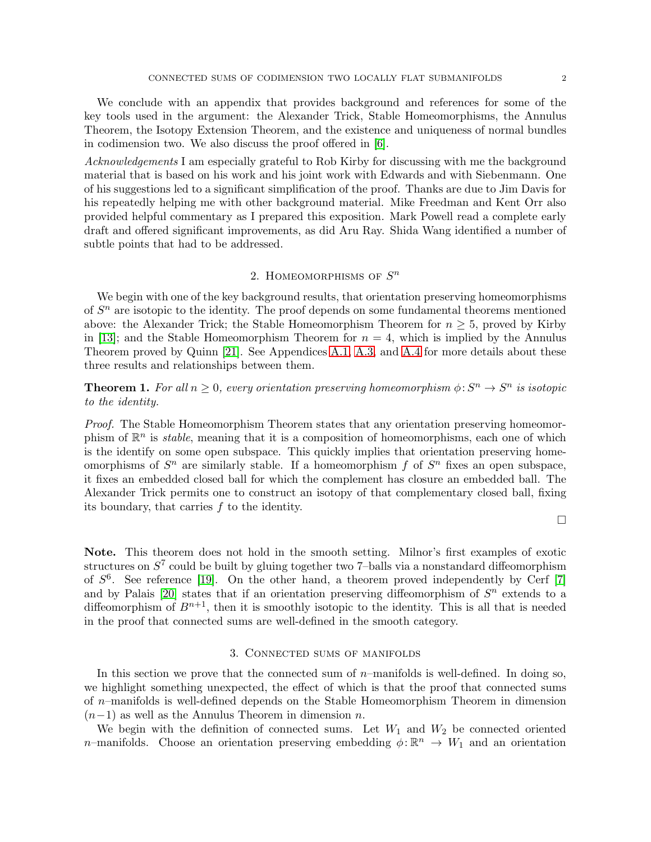We conclude with an appendix that provides background and references for some of the key tools used in the argument: the Alexander Trick, Stable Homeomorphisms, the Annulus Theorem, the Isotopy Extension Theorem, and the existence and uniqueness of normal bundles in codimension two. We also discuss the proof offered in [\[6\]](#page-8-3).

Acknowledgements I am especially grateful to Rob Kirby for discussing with me the background material that is based on his work and his joint work with Edwards and with Siebenmann. One of his suggestions led to a significant simplification of the proof. Thanks are due to Jim Davis for his repeatedly helping me with other background material. Mike Freedman and Kent Orr also provided helpful commentary as I prepared this exposition. Mark Powell read a complete early draft and offered significant improvements, as did Aru Ray. Shida Wang identified a number of subtle points that had to be addressed.

# 2. HOMEOMORPHISMS OF  $S<sup>n</sup>$

<span id="page-1-0"></span>We begin with one of the key background results, that orientation preserving homeomorphisms of  $S<sup>n</sup>$  are isotopic to the identity. The proof depends on some fundamental theorems mentioned above: the Alexander Trick; the Stable Homeomorphism Theorem for  $n \geq 5$ , proved by Kirby in [\[13\]](#page-8-0); and the Stable Homeomorphism Theorem for  $n = 4$ , which is implied by the Annulus Theorem proved by Quinn [\[21\]](#page-9-1). See Appendices [A.1,](#page-5-0) [A.3,](#page-6-0) and [A.4](#page-6-1) for more details about these three results and relationships between them.

<span id="page-1-2"></span>**Theorem 1.** For all  $n \geq 0$ , every orientation preserving homeomorphism  $\phi: S^n \to S^n$  is isotopic to the identity.

Proof. The Stable Homeomorphism Theorem states that any orientation preserving homeomorphism of  $\mathbb{R}^n$  is *stable*, meaning that it is a composition of homeomorphisms, each one of which is the identify on some open subspace. This quickly implies that orientation preserving homeomorphisms of  $S<sup>n</sup>$  are similarly stable. If a homeomorphism f of  $S<sup>n</sup>$  fixes an open subspace, it fixes an embedded closed ball for which the complement has closure an embedded ball. The Alexander Trick permits one to construct an isotopy of that complementary closed ball, fixing its boundary, that carries f to the identity.

 $\Box$ 

Note. This theorem does not hold in the smooth setting. Milnor's first examples of exotic structures on  $S^7$  could be built by gluing together two 7-balls via a nonstandard diffeomorphism of  $S^6$ . See reference [\[19\]](#page-9-2). On the other hand, a theorem proved independently by Cerf [\[7\]](#page-8-4) and by Palais [\[20\]](#page-9-3) states that if an orientation preserving diffeomorphism of  $S<sup>n</sup>$  extends to a diffeomorphism of  $B^{n+1}$ , then it is smoothly isotopic to the identity. This is all that is needed in the proof that connected sums are well-defined in the smooth category.

#### 3. Connected sums of manifolds

<span id="page-1-1"></span>In this section we prove that the connected sum of  $n$ –manifolds is well-defined. In doing so, we highlight something unexpected, the effect of which is that the proof that connected sums of n–manifolds is well-defined depends on the Stable Homeomorphism Theorem in dimension  $(n-1)$  as well as the Annulus Theorem in dimension n.

We begin with the definition of connected sums. Let  $W_1$  and  $W_2$  be connected oriented *n*–manifolds. Choose an orientation preserving embedding  $\phi : \mathbb{R}^n \to W_1$  and an orientation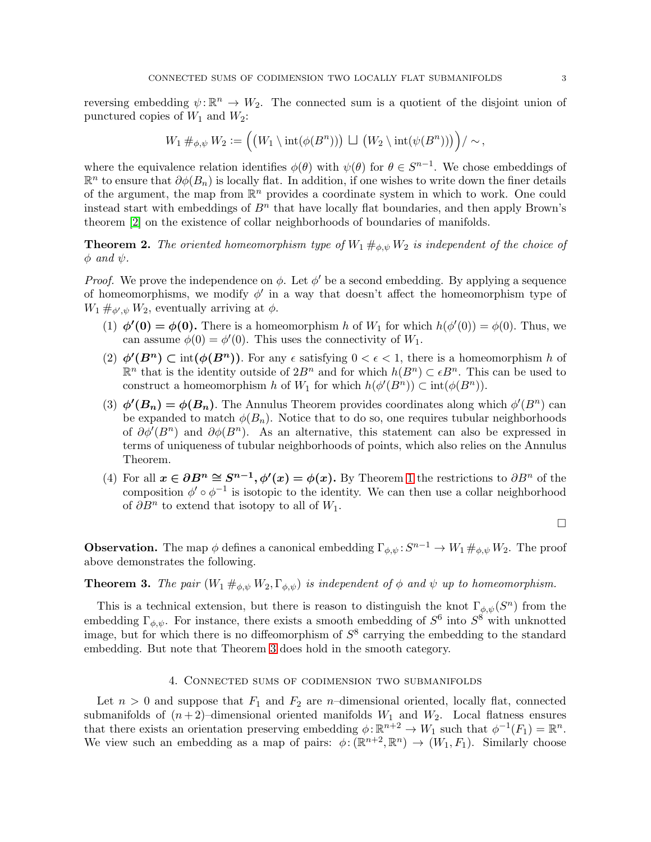reversing embedding  $\psi: \mathbb{R}^n \to W_2$ . The connected sum is a quotient of the disjoint union of punctured copies of  $W_1$  and  $W_2$ :

$$
W_1 \#_{\phi,\psi} W_2 := \Big( \big( W_1 \setminus \mathrm{int}(\phi(B^n)) \big) \sqcup \big( W_2 \setminus \mathrm{int}(\psi(B^n)) \big) \Big) / \sim,
$$

where the equivalence relation identifies  $\phi(\theta)$  with  $\psi(\theta)$  for  $\theta \in S^{n-1}$ . We chose embeddings of  $\mathbb{R}^n$  to ensure that  $\partial \phi(B_n)$  is locally flat. In addition, if one wishes to write down the finer details of the argument, the map from  $\mathbb{R}^n$  provides a coordinate system in which to work. One could instead start with embeddings of  $B<sup>n</sup>$  that have locally flat boundaries, and then apply Brown's theorem [\[2\]](#page-8-5) on the existence of collar neighborhoods of boundaries of manifolds.

**Theorem 2.** The oriented homeomorphism type of  $W_1 \#_{\phi,\psi} W_2$  is independent of the choice of  $\phi$  and  $\psi$ .

*Proof.* We prove the independence on  $\phi$ . Let  $\phi'$  be a second embedding. By applying a sequence of homeomorphisms, we modify  $\phi'$  in a way that doesn't affect the homeomorphism type of  $W_1 \#_{\phi',\psi} W_2$ , eventually arriving at  $\phi$ .

- (1)  $\phi'(0) = \phi(0)$ . There is a homeomorphism h of  $W_1$  for which  $h(\phi'(0)) = \phi(0)$ . Thus, we can assume  $\phi(0) = \phi'(0)$ . This uses the connectivity of  $W_1$ .
- (2)  $\phi'(B^n) \subset \text{int}(\phi(B^n))$ . For any  $\epsilon$  satisfying  $0 < \epsilon < 1$ , there is a homeomorphism h of  $\mathbb{R}^n$  that is the identity outside of  $2B^n$  and for which  $h(B^n) \subset \epsilon B^n$ . This can be used to construct a homeomorphism h of  $W_1$  for which  $h(\phi'(B^n)) \subset \text{int}(\phi(B^n))$ .
- (3)  $\phi'(B_n) = \phi(B_n)$ . The Annulus Theorem provides coordinates along which  $\phi'(B^n)$  can be expanded to match  $\phi(B_n)$ . Notice that to do so, one requires tubular neighborhoods of  $\partial \phi'(B^n)$  and  $\partial \phi(B^n)$ . As an alternative, this statement can also be expressed in terms of uniqueness of tubular neighborhoods of points, which also relies on the Annulus Theorem.
- (4) For all  $x \in \partial B^n \cong S^{n-1}$ ,  $\phi'(x) = \phi(x)$ . By Theorem [1](#page-1-2) the restrictions to  $\partial B^n$  of the composition  $\phi' \circ \phi^{-1}$  is isotopic to the identity. We can then use a collar neighborhood of  $\partial B^n$  to extend that isotopy to all of  $W_1$ .

 $\Box$ 

**Observation.** The map  $\phi$  defines a canonical embedding  $\Gamma_{\phi,\psi}: S^{n-1} \to W_1 \#_{\phi,\psi} W_2$ . The proof above demonstrates the following.

## <span id="page-2-1"></span>**Theorem 3.** The pair  $(W_1 \#_{\phi,\psi} W_2, \Gamma_{\phi,\psi})$  is independent of  $\phi$  and  $\psi$  up to homeomorphism.

This is a technical extension, but there is reason to distinguish the knot  $\Gamma_{\phi,\psi}(S^n)$  from the embedding  $\Gamma_{\phi,\psi}$ . For instance, there exists a smooth embedding of  $S^6$  into  $S^8$  with unknotted image, but for which there is no diffeomorphism of  $S^8$  carrying the embedding to the standard embedding. But note that Theorem [3](#page-2-1) does hold in the smooth category.

#### 4. Connected sums of codimension two submanifolds

<span id="page-2-0"></span>Let  $n > 0$  and suppose that  $F_1$  and  $F_2$  are n-dimensional oriented, locally flat, connected submanifolds of  $(n+2)$ -dimensional oriented manifolds  $W_1$  and  $W_2$ . Local flatness ensures that there exists an orientation preserving embedding  $\phi: \mathbb{R}^{n+2} \to W_1$  such that  $\phi^{-1}(F_1) = \mathbb{R}^n$ . We view such an embedding as a map of pairs:  $\phi: (\mathbb{R}^{n+2}, \mathbb{R}^n) \to (W_1, F_1)$ . Similarly choose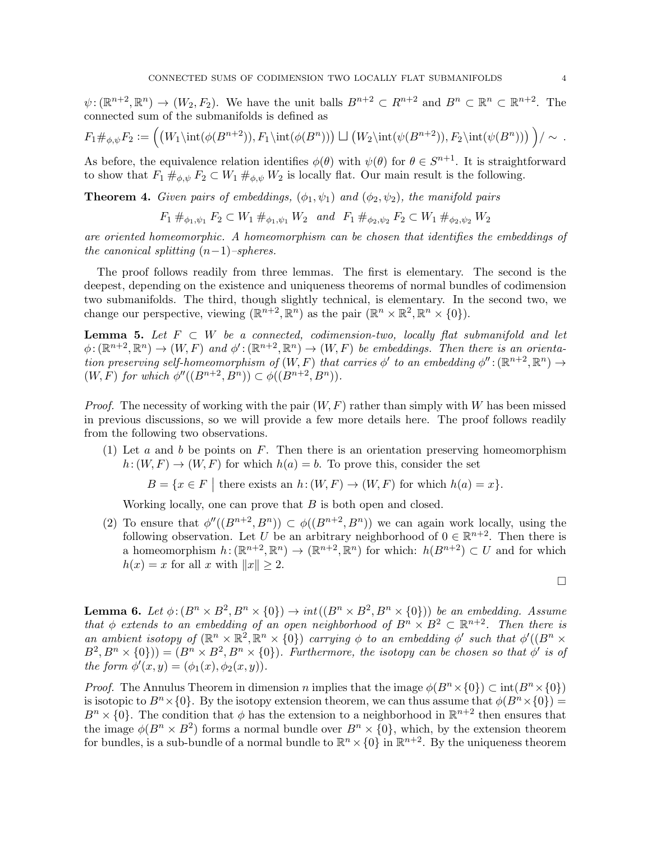$\psi: (\mathbb{R}^{n+2}, \mathbb{R}^n) \to (W_2, F_2)$ . We have the unit balls  $B^{n+2} \subset R^{n+2}$  and  $B^n \subset \mathbb{R}^n \subset \mathbb{R}^{n+2}$ . The connected sum of the submanifolds is defined as

$$
F_1\#_{\phi,\psi}F_2:=\left(\left(W_1\int (\phi(B^{n+2})),F_1\int (\phi(B^n))\right)\perp \left(W_2\int (\psi(B^{n+2})),F_2\int (\psi(B^n))\right)\right)/\sim.
$$

As before, the equivalence relation identifies  $\phi(\theta)$  with  $\psi(\theta)$  for  $\theta \in S^{n+1}$ . It is straightforward to show that  $F_1 \#_{\phi,\psi} F_2 \subset W_1 \#_{\phi,\psi} W_2$  is locally flat. Our main result is the following.

<span id="page-3-0"></span>**Theorem 4.** Given pairs of embeddings,  $(\phi_1, \psi_1)$  and  $(\phi_2, \psi_2)$ , the manifold pairs

$$
F_1 \#_{\phi_1,\psi_1} F_2 \subset W_1 \#_{\phi_1,\psi_1} W_2
$$
 and  $F_1 \#_{\phi_2,\psi_2} F_2 \subset W_1 \#_{\phi_2,\psi_2} W_2$ 

are oriented homeomorphic. A homeomorphism can be chosen that identifies the embeddings of the canonical splitting  $(n-1)$ –spheres.

The proof follows readily from three lemmas. The first is elementary. The second is the deepest, depending on the existence and uniqueness theorems of normal bundles of codimension two submanifolds. The third, though slightly technical, is elementary. In the second two, we change our perspective, viewing  $(\mathbb{R}^{n+2}, \mathbb{R}^n)$  as the pair  $(\mathbb{R}^n \times \mathbb{R}^2, \mathbb{R}^n \times \{0\})$ .

**Lemma 5.** Let  $F \subset W$  be a connected, codimension-two, locally flat submanifold and let  $\phi: (\mathbb{R}^{n+2}, \mathbb{R}^n) \to (W, F)$  and  $\phi': (\mathbb{R}^{n+2}, \mathbb{R}^n) \to (W, F)$  be embeddings. Then there is an orientation preserving self-homeomorphism of  $(W, F)$  that carries  $\phi'$  to an embedding  $\phi''$ :  $(\mathbb{R}^{n+2}, \mathbb{R}^n) \to$  $(W, \overline{F})$  for which  $\phi''((B^{n+2}, B^n)) \subset \phi((B^{n+2}, B^n)).$ 

*Proof.* The necessity of working with the pair  $(W, F)$  rather than simply with W has been missed in previous discussions, so we will provide a few more details here. The proof follows readily from the following two observations.

(1) Let a and b be points on F. Then there is an orientation preserving homeomorphism  $h: (W, F) \to (W, F)$  for which  $h(a) = b$ . To prove this, consider the set

 $B = \{x \in F \mid \text{there exists an } h: (W, F) \to (W, F) \text{ for which } h(a) = x\}.$ 

Working locally, one can prove that  $B$  is both open and closed.

(2) To ensure that  $\phi''((B^{n+2}, B^n)) \subset \phi((B^{n+2}, B^n))$  we can again work locally, using the following observation. Let U be an arbitrary neighborhood of  $0 \in \mathbb{R}^{n+2}$ . Then there is a homeomorphism  $h: (\mathbb{R}^{n+2}, \mathbb{R}^n) \to (\mathbb{R}^{n+2}, \mathbb{R}^n)$  for which:  $h(B^{n+2}) \subset U$  and for which  $h(x) = x$  for all x with  $||x|| > 2$ .

 $\Box$ 

**Lemma 6.** Let  $\phi: (B^n \times B^2, B^n \times \{0\}) \to int((B^n \times B^2, B^n \times \{0\}))$  be an embedding. Assume that  $\phi$  extends to an embedding of an open neighborhood of  $B^n \times B^2 \subset \mathbb{R}^{n+2}$ . Then there is an ambient isotopy of  $(\mathbb{R}^n \times \mathbb{R}^2, \mathbb{R}^n \times {\mathbb{R}}^2)$  carrying  $\phi$  to an embedding  $\phi'$  such that  $\phi'((B^n \times$  $(B^2, B^n \times \{0\}) = (B^n \times B^2, B^n \times \{0\})$ . Furthermore, the isotopy can be chosen so that  $\phi'$  is of the form  $\phi'(x,y) = (\phi_1(x), \phi_2(x,y)).$ 

*Proof.* The Annulus Theorem in dimension n implies that the image  $\phi(B^n \times \{0\}) \subset \text{int}(B^n \times \{0\})$ is isotopic to  $B<sup>n</sup> \times \{0\}$ . By the isotopy extension theorem, we can thus assume that  $\phi(B<sup>n</sup> \times \{0\}) =$  $B<sup>n</sup> \times \{0\}$ . The condition that  $\phi$  has the extension to a neighborhood in  $\mathbb{R}^{n+2}$  then ensures that the image  $\phi(B^n \times B^2)$  forms a normal bundle over  $B^n \times \{0\}$ , which, by the extension theorem for bundles, is a sub-bundle of a normal bundle to  $\mathbb{R}^n \times \{0\}$  in  $\mathbb{R}^{n+2}$ . By the uniqueness theorem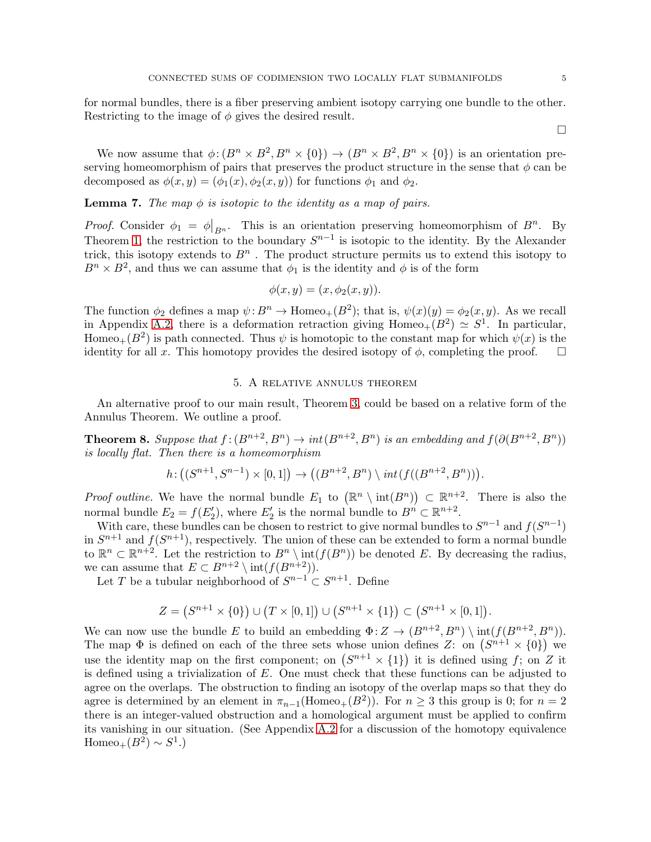for normal bundles, there is a fiber preserving ambient isotopy carrying one bundle to the other. Restricting to the image of  $\phi$  gives the desired result.

 $\Box$ 

We now assume that  $\phi: (B^n \times B^2, B^n \times \{0\}) \to (B^n \times B^2, B^n \times \{0\})$  is an orientation preserving homeomorphism of pairs that preserves the product structure in the sense that  $\phi$  can be decomposed as  $\phi(x, y) = (\phi_1(x), \phi_2(x, y))$  for functions  $\phi_1$  and  $\phi_2$ .

<span id="page-4-1"></span>**Lemma 7.** The map  $\phi$  is isotopic to the identity as a map of pairs.

Proof. Consider  $\phi_1 = \phi|_{B^n}$ . This is an orientation preserving homeomorphism of  $B^n$ . By Theorem [1,](#page-1-2) the restriction to the boundary  $S^{n-1}$  is isotopic to the identity. By the Alexander trick, this isotopy extends to  $B<sup>n</sup>$ . The product structure permits us to extend this isotopy to  $B^n \times B^2$ , and thus we can assume that  $\phi_1$  is the identity and  $\phi$  is of the form

$$
\phi(x, y) = (x, \phi_2(x, y)).
$$

The function  $\phi_2$  defines a map  $\psi: B^n \to \text{Homeo}_+(B^2)$ ; that is,  $\psi(x)(y) = \phi_2(x, y)$ . As we recall in Appendix [A.2,](#page-6-2) there is a deformation retraction giving  $Homeo_+(B^2) \simeq S^1$ . In particular, Homeo<sub>+</sub>( $B^2$ ) is path connected. Thus  $\psi$  is homotopic to the constant map for which  $\psi(x)$  is the identity for all x. This homotopy provides the desired isotopy of  $\phi$ , completing the proof.  $\square$ 

## 5. A relative annulus theorem

<span id="page-4-0"></span>An alternative proof to our main result, Theorem [3,](#page-2-1) could be based on a relative form of the Annulus Theorem. We outline a proof.

**Theorem 8.** Suppose that  $f:(B^{n+2}, B^n) \to int(B^{n+2}, B^n)$  is an embedding and  $f(\partial(B^{n+2}, B^n))$ is locally flat. Then there is a homeomorphism

$$
h\!:\big((S^{n+1},S^{n-1})\times[0,1]\big)\to \big((B^{n+2},B^{n})\setminus int(f((B^{n+2},B^{n}))\big).
$$

*Proof outline.* We have the normal bundle  $E_1$  to  $(\mathbb{R}^n \setminus \text{int}(B^n)) \subset \mathbb{R}^{n+2}$ . There is also the normal bundle  $E_2 = f(E'_2)$ , where  $E'_2$  is the normal bundle to  $B^n \subset \mathbb{R}^{n+2}$ .

With care, these bundles can be chosen to restrict to give normal bundles to  $S^{n-1}$  and  $f(S^{n-1})$ in  $S^{n+1}$  and  $f(S^{n+1})$ , respectively. The union of these can be extended to form a normal bundle to  $\mathbb{R}^n \subset \mathbb{R}^{n+2}$ . Let the restriction to  $B^n \setminus \text{int}(f(B^n))$  be denoted E. By decreasing the radius, we can assume that  $E \subset B^{n+2} \setminus \mathrm{int}(f(B^{n+2}))$ .

Let T be a tubular neighborhood of  $S^{n-1} \subset S^{n+1}$ . Define

$$
Z = (S^{n+1} \times \{0\}) \cup (T \times [0,1]) \cup (S^{n+1} \times \{1\}) \subset (S^{n+1} \times [0,1]).
$$

We can now use the bundle E to build an embedding  $\Phi: Z \to (B^{n+2}, B^n) \setminus \text{int}(f(B^{n+2}, B^n))$ . The map  $\Phi$  is defined on each of the three sets whose union defines Z: on  $(S^{n+1} \times \{0\})$  we use the identity map on the first component; on  $(S^{n+1} \times \{1\})$  it is defined using f; on Z it is defined using a trivialization of  $E$ . One must check that these functions can be adjusted to agree on the overlaps. The obstruction to finding an isotopy of the overlap maps so that they do agree is determined by an element in  $\pi_{n-1}(\text{Homeo}_+(B^2))$ . For  $n \geq 3$  this group is 0; for  $n=2$ there is an integer-valued obstruction and a homological argument must be applied to confirm its vanishing in our situation. (See Appendix [A.2](#page-6-2) for a discussion of the homotopy equivalence Homeo<sub>+</sub> $(B^2) \sim S^1$ .)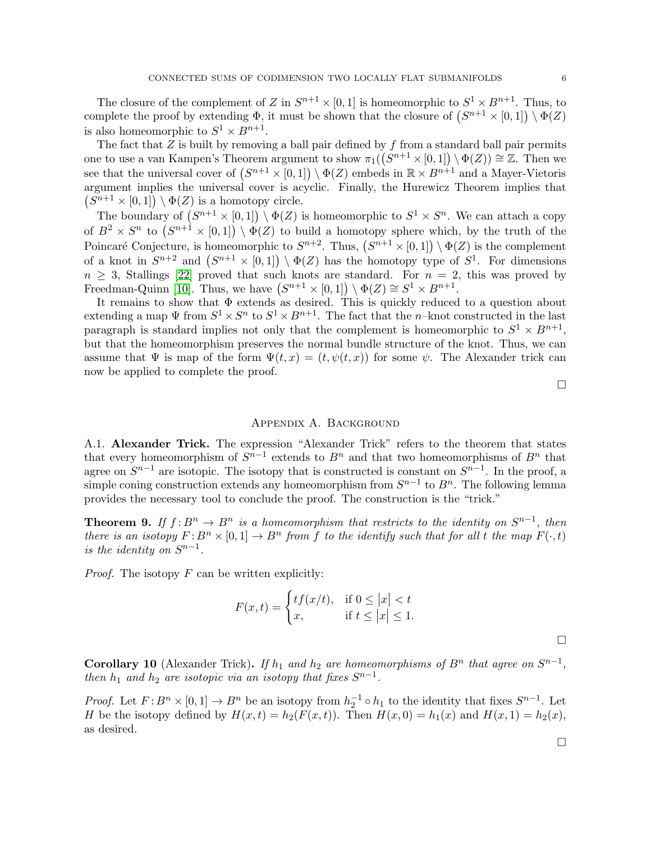The closure of the complement of Z in  $S^{n+1} \times [0,1]$  is homeomorphic to  $S^1 \times B^{n+1}$ . Thus, to complete the proof by extending  $\Phi$ , it must be shown that the closure of  $(S^{n+1} \times [0,1]) \setminus \Phi(Z)$ is also homeomorphic to  $S^1 \times B^{n+1}$ .

The fact that  $Z$  is built by removing a ball pair defined by  $f$  from a standard ball pair permits one to use a van Kampen's Theorem argument to show  $\pi_1((S^{n+1} \times [0,1]) \setminus \Phi(Z)) \cong \mathbb{Z}$ . Then we see that the universal cover of  $(S^{n+1} \times [0,1]) \setminus \Phi(Z)$  embeds in  $\mathbb{R} \times B^{n+1}$  and a Mayer-Vietoris argument implies the universal cover is acyclic. Finally, the Hurewicz Theorem implies that  $(S^{n+1} \times [0,1]) \setminus \Phi(Z)$  is a homotopy circle.

The boundary of  $(S^{n+1} \times [0,1]) \setminus \Phi(Z)$  is homeomorphic to  $S^1 \times S^n$ . We can attach a copy of  $B^2 \times S^n$  to  $(S^{n+1} \times [0,1]) \setminus \Phi(Z)$  to build a homotopy sphere which, by the truth of the Poincaré Conjecture, is homeomorphic to  $S^{n+2}$ . Thus,  $(S^{n+1} \times [0,1]) \setminus \Phi(Z)$  is the complement of a knot in  $S^{n+2}$  and  $(S^{n+1} \times [0,1]) \setminus \Phi(Z)$  has the homotopy type of  $S^1$ . For dimensions  $n \geq 3$ , Stallings [\[22\]](#page-9-4) proved that such knots are standard. For  $n = 2$ , this was proved by Freedman-Quinn [\[10\]](#page-8-1). Thus, we have  $(S^{n+1} \times [0,1]) \setminus \Phi(Z) \cong S^1 \times B^{n+1}$ .

It remains to show that Φ extends as desired. This is quickly reduced to a question about extending a map  $\Psi$  from  $S^1 \times S^n$  to  $S^1 \times B^{n+1}$ . The fact that the *n*-knot constructed in the last paragraph is standard implies not only that the complement is homeomorphic to  $S^1 \times B^{n+1}$ , but that the homeomorphism preserves the normal bundle structure of the knot. Thus, we can assume that  $\Psi$  is map of the form  $\Psi(t,x) = (t, \psi(t,x))$  for some  $\psi$ . The Alexander trick can now be applied to complete the proof.

 $\Box$ 

#### Appendix A. Background

<span id="page-5-0"></span>A.1. Alexander Trick. The expression "Alexander Trick" refers to the theorem that states that every homeomorphism of  $S^{n-1}$  extends to  $B^n$  and that two homeomorphisms of  $B^n$  that agree on  $S^{n-1}$  are isotopic. The isotopy that is constructed is constant on  $S^{n-1}$ . In the proof, a simple coning construction extends any homeomorphism from  $S^{n-1}$  to  $B^n$ . The following lemma provides the necessary tool to conclude the proof. The construction is the "trick."

**Theorem 9.** If  $f: B^n \to B^n$  is a homeomorphism that restricts to the identity on  $S^{n-1}$ , then there is an isotopy  $F: B^n \times [0,1] \to B^n$  from f to the identify such that for all t the map  $F(\cdot,t)$ is the identity on  $S^{n-1}$ .

*Proof.* The isotopy  $F$  can be written explicitly:

$$
F(x,t) = \begin{cases} tf(x/t), & \text{if } 0 \le |x| < t \\ x, & \text{if } t \le |x| \le 1. \end{cases}
$$

 $\Box$ 

 $\Box$ 

**Corollary 10** (Alexander Trick). If  $h_1$  and  $h_2$  are homeomorphisms of  $B<sup>n</sup>$  that agree on  $S<sup>n-1</sup>$ , then  $h_1$  and  $h_2$  are isotopic via an isotopy that fixes  $S^{n-1}$ .

*Proof.* Let  $F: B^n \times [0,1] \to B^n$  be an isotopy from  $h_2^{-1} \circ h_1$  to the identity that fixes  $S^{n-1}$ . Let H be the isotopy defined by  $H(x,t) = h_2(F(x,t))$ . Then  $H(x, 0) = h_1(x)$  and  $H(x, 1) = h_2(x)$ , as desired.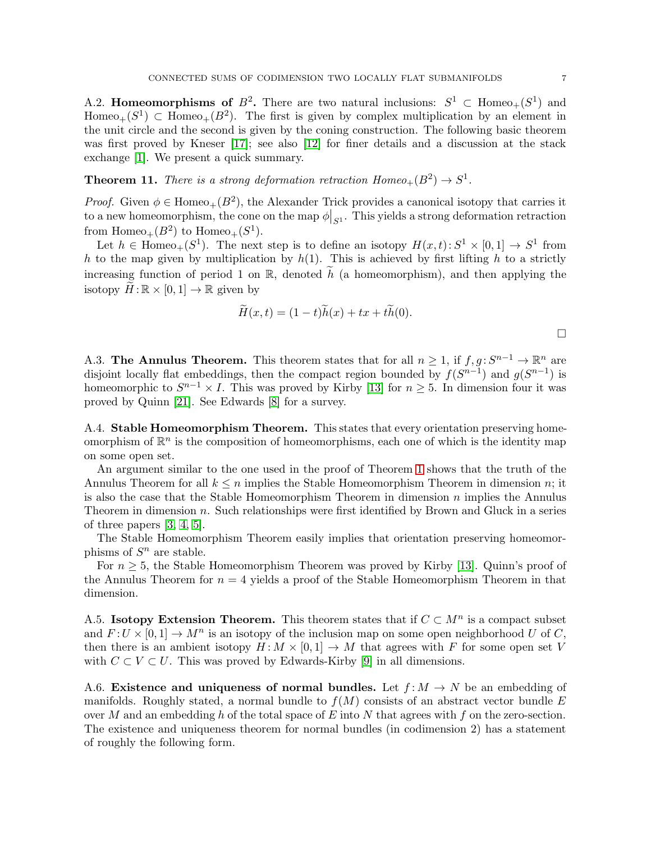<span id="page-6-2"></span>A.2. Homeomorphisms of  $B^2$ . There are two natural inclusions:  $S^1 \subset \text{Homeo}_+(S^1)$  and Homeo<sub>+</sub>( $S^1$ )  $\subset$  Homeo<sub>+</sub>( $B^2$ ). The first is given by complex multiplication by an element in the unit circle and the second is given by the coning construction. The following basic theorem was first proved by Kneser [\[17\]](#page-9-5); see also [\[12\]](#page-8-6) for finer details and a discussion at the stack exchange [\[1\]](#page-8-7). We present a quick summary.

**Theorem 11.** There is a strong deformation retraction  $Homeo_+(B^2) \rightarrow S^1$ .

*Proof.* Given  $\phi \in \text{Homeo}_+(B^2)$ , the Alexander Trick provides a canonical isotopy that carries it to a new homeomorphism, the cone on the map  $\phi|_{S^1}$ . This yields a strong deformation retraction from  $Homeo_+(B^2)$  to  $Homeo_+(S^1)$ .

Let  $h \in \text{Homeo}_+(S^1)$ . The next step is to define an isotopy  $H(x,t): S^1 \times [0,1] \to S^1$  from h to the map given by multiplication by  $h(1)$ . This is achieved by first lifting h to a strictly increasing function of period 1 on R, denoted  $\tilde{h}$  (a homeomorphism), and then applying the isotopy  $H:\mathbb{R}\times [0,1]\to \mathbb{R}$  given by

$$
\widetilde{H}(x,t) = (1-t)\widetilde{h}(x) + tx + t\widetilde{h}(0).
$$

<span id="page-6-0"></span>A.3. The Annulus Theorem. This theorem states that for all  $n \geq 1$ , if  $f, g: S^{n-1} \to \mathbb{R}^n$  are disjoint locally flat embeddings, then the compact region bounded by  $f(S^{n-1})$  and  $g(S^{n-1})$  is homeomorphic to  $S^{n-1} \times I$ . This was proved by Kirby [\[13\]](#page-8-0) for  $n \geq 5$ . In dimension four it was proved by Quinn [\[21\]](#page-9-1). See Edwards [\[8\]](#page-8-8) for a survey.

<span id="page-6-1"></span>A.4. Stable Homeomorphism Theorem. This states that every orientation preserving homeomorphism of  $\mathbb{R}^n$  is the composition of homeomorphisms, each one of which is the identity map on some open set.

An argument similar to the one used in the proof of Theorem [1](#page-1-2) shows that the truth of the Annulus Theorem for all  $k \leq n$  implies the Stable Homeomorphism Theorem in dimension n; it is also the case that the Stable Homeomorphism Theorem in dimension  $n$  implies the Annulus Theorem in dimension n. Such relationships were first identified by Brown and Gluck in a series of three papers [\[3,](#page-8-9) [4,](#page-8-10) [5\]](#page-8-11).

The Stable Homeomorphism Theorem easily implies that orientation preserving homeomorphisms of  $S<sup>n</sup>$  are stable.

For  $n \geq 5$ , the Stable Homeomorphism Theorem was proved by Kirby [\[13\]](#page-8-0). Quinn's proof of the Annulus Theorem for  $n = 4$  yields a proof of the Stable Homeomorphism Theorem in that dimension.

A.5. Isotopy Extension Theorem. This theorem states that if  $C \subset M^n$  is a compact subset and  $F: U \times [0,1] \to M^n$  is an isotopy of the inclusion map on some open neighborhood U of C, then there is an ambient isotopy  $H: M \times [0,1] \to M$  that agrees with F for some open set V with  $C \subset V \subset U$ . This was proved by Edwards-Kirby [\[9\]](#page-8-12) in all dimensions.

A.6. Existence and uniqueness of normal bundles. Let  $f: M \to N$  be an embedding of manifolds. Roughly stated, a normal bundle to  $f(M)$  consists of an abstract vector bundle E over M and an embedding h of the total space of E into N that agrees with f on the zero-section. The existence and uniqueness theorem for normal bundles (in codimension 2) has a statement of roughly the following form.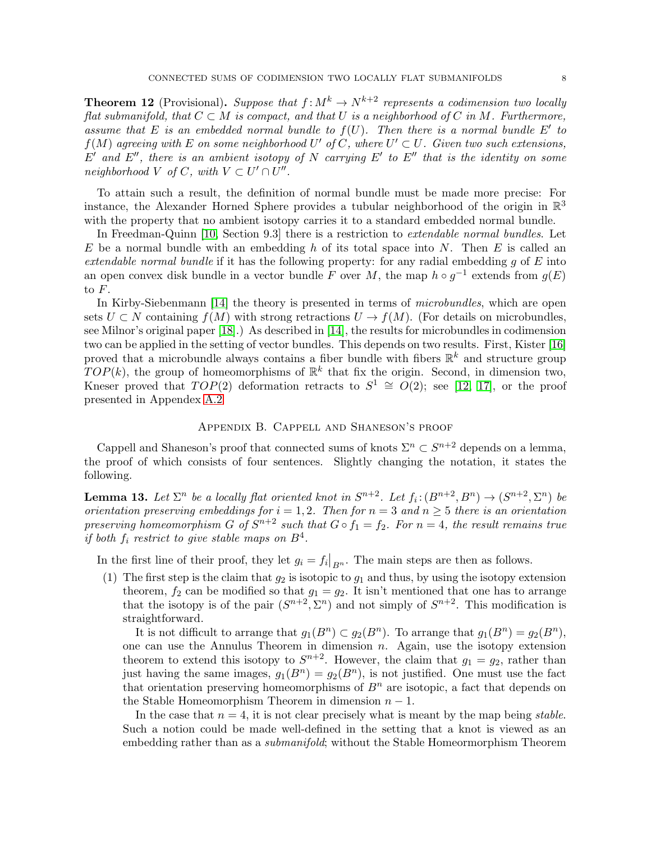**Theorem 12** (Provisional). Suppose that  $f: M^k \to N^{k+2}$  represents a codimension two locally flat submanifold, that  $C \subset M$  is compact, and that U is a neighborhood of C in M. Furthermore, assume that E is an embedded normal bundle to  $f(U)$ . Then there is a normal bundle E' to  $f(M)$  agreeing with E on some neighborhood U' of C, where  $U' \subset U$ . Given two such extensions,  $E'$  and  $E''$ , there is an ambient isotopy of N carrying E' to E'' that is the identity on some  $neighborhood\ V\ of\ C,\ with\ V\subset U'\cap U''.$ 

To attain such a result, the definition of normal bundle must be made more precise: For instance, the Alexander Horned Sphere provides a tubular neighborhood of the origin in  $\mathbb{R}^3$ with the property that no ambient isotopy carries it to a standard embedded normal bundle.

In Freedman-Quinn [\[10,](#page-8-1) Section 9.3] there is a restriction to extendable normal bundles. Let E be a normal bundle with an embedding h of its total space into N. Then E is called an extendable normal bundle if it has the following property: for any radial embedding  $g$  of  $E$  into an open convex disk bundle in a vector bundle F over M, the map  $h \circ g^{-1}$  extends from  $g(E)$ to F.

In Kirby-Siebenmann [\[14\]](#page-9-6) the theory is presented in terms of *microbundles*, which are open sets  $U \subset N$  containing  $f(M)$  with strong retractions  $U \to f(M)$ . (For details on microbundles, see Milnor's original paper [\[18\]](#page-9-7).) As described in [\[14\]](#page-9-6), the results for microbundles in codimension two can be applied in the setting of vector bundles. This depends on two results. First, Kister [\[16\]](#page-9-8) proved that a microbundle always contains a fiber bundle with fibers  $\mathbb{R}^k$  and structure group  $TOP(k)$ , the group of homeomorphisms of  $\mathbb{R}^k$  that fix the origin. Second, in dimension two, Kneser proved that  $TOP(2)$  deformation retracts to  $S^1 \cong O(2)$ ; see [\[12,](#page-8-6) [17\]](#page-9-5), or the proof presented in Appendex [A.2](#page-6-2)

## Appendix B. Cappell and Shaneson's proof

Cappell and Shaneson's proof that connected sums of knots  $\Sigma^n \subset S^{n+2}$  depends on a lemma, the proof of which consists of four sentences. Slightly changing the notation, it states the following.

**Lemma 13.** Let  $\Sigma^n$  be a locally flat oriented knot in  $S^{n+2}$ . Let  $f_i: (B^{n+2}, B^n) \to (S^{n+2}, \Sigma^n)$  be orientation preserving embeddings for  $i = 1, 2$ . Then for  $n = 3$  and  $n \geq 5$  there is an orientation preserving homeomorphism G of  $S^{n+2}$  such that  $G \circ f_1 = f_2$ . For  $n = 4$ , the result remains true if both  $f_i$  restrict to give stable maps on  $B^4$ .

In the first line of their proof, they let  $g_i = f_i|_{B^n}$ . The main steps are then as follows.

(1) The first step is the claim that  $g_2$  is isotopic to  $g_1$  and thus, by using the isotopy extension theorem,  $f_2$  can be modified so that  $g_1 = g_2$ . It isn't mentioned that one has to arrange that the isotopy is of the pair  $(S^{n+2}, \Sigma^n)$  and not simply of  $S^{n+2}$ . This modification is straightforward.

It is not difficult to arrange that  $g_1(B^n) \subset g_2(B^n)$ . To arrange that  $g_1(B^n) = g_2(B^n)$ , one can use the Annulus Theorem in dimension  $n$ . Again, use the isotopy extension theorem to extend this isotopy to  $S^{n+2}$ . However, the claim that  $g_1 = g_2$ , rather than just having the same images,  $g_1(B^n) = g_2(B^n)$ , is not justified. One must use the fact that orientation preserving homeomorphisms of  $B<sup>n</sup>$  are isotopic, a fact that depends on the Stable Homeomorphism Theorem in dimension  $n-1$ .

In the case that  $n = 4$ , it is not clear precisely what is meant by the map being stable. Such a notion could be made well-defined in the setting that a knot is viewed as an embedding rather than as a *submanifold*; without the Stable Homeormorphism Theorem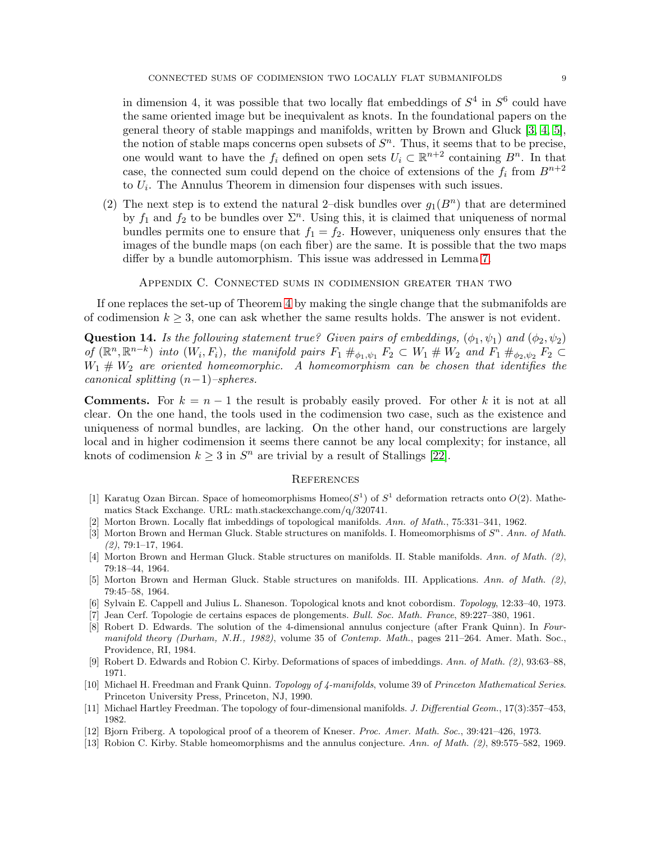in dimension 4, it was possible that two locally flat embeddings of  $S<sup>4</sup>$  in  $S<sup>6</sup>$  could have the same oriented image but be inequivalent as knots. In the foundational papers on the general theory of stable mappings and manifolds, written by Brown and Gluck [\[3,](#page-8-9) [4,](#page-8-10) [5\]](#page-8-11), the notion of stable maps concerns open subsets of  $S<sup>n</sup>$ . Thus, it seems that to be precise, one would want to have the  $f_i$  defined on open sets  $U_i \subset \mathbb{R}^{n+2}$  containing  $B^n$ . In that case, the connected sum could depend on the choice of extensions of the  $f_i$  from  $B^{n+2}$ to  $U_i$ . The Annulus Theorem in dimension four dispenses with such issues.

(2) The next step is to extend the natural 2-disk bundles over  $g_1(B^n)$  that are determined by  $f_1$  and  $f_2$  to be bundles over  $\Sigma<sup>n</sup>$ . Using this, it is claimed that uniqueness of normal bundles permits one to ensure that  $f_1 = f_2$ . However, uniqueness only ensures that the images of the bundle maps (on each fiber) are the same. It is possible that the two maps differ by a bundle automorphism. This issue was addressed in Lemma [7.](#page-4-1)

Appendix C. Connected sums in codimension greater than two

If one replaces the set-up of Theorem [4](#page-3-0) by making the single change that the submanifolds are of codimension  $k \geq 3$ , one can ask whether the same results holds. The answer is not evident.

**Question 14.** Is the following statement true? Given pairs of embeddings,  $(\phi_1, \psi_1)$  and  $(\phi_2, \psi_2)$ of  $(\mathbb{R}^n, \mathbb{R}^{n-k})$  into  $(W_i, F_i)$ , the manifold pairs  $F_1 \#_{\phi_1, \psi_1} F_2 \subset W_1 \# W_2$  and  $F_1 \#_{\phi_2, \psi_2} F_2 \subset$  $W_1 \# W_2$  are oriented homeomorphic. A homeomorphism can be chosen that identifies the canonical splitting  $(n-1)$ –spheres.

**Comments.** For  $k = n - 1$  the result is probably easily proved. For other k it is not at all clear. On the one hand, the tools used in the codimension two case, such as the existence and uniqueness of normal bundles, are lacking. On the other hand, our constructions are largely local and in higher codimension it seems there cannot be any local complexity; for instance, all knots of codimension  $k \geq 3$  in  $S<sup>n</sup>$  are trivial by a result of Stallings [\[22\]](#page-9-4).

### **REFERENCES**

- <span id="page-8-7"></span>[1] Karatug Ozan Bircan. Space of homeomorphisms Homeo( $S^1$ ) of  $S^1$  deformation retracts onto  $O(2)$ . Mathematics Stack Exchange. URL: math.stackexchange.com/q/320741.
- <span id="page-8-9"></span><span id="page-8-5"></span>Morton Brown. Locally flat imbeddings of topological manifolds. Ann. of Math., 75:331–341, 1962.
- [3] Morton Brown and Herman Gluck. Stable structures on manifolds. I. Homeomorphisms of  $S<sup>n</sup>$ . Ann. of Math.  $(2), 79:1-17, 1964.$
- <span id="page-8-10"></span>[4] Morton Brown and Herman Gluck. Stable structures on manifolds. II. Stable manifolds. Ann. of Math. (2), 79:18–44, 1964.
- <span id="page-8-11"></span>[5] Morton Brown and Herman Gluck. Stable structures on manifolds. III. Applications. Ann. of Math. (2), 79:45–58, 1964.
- <span id="page-8-4"></span><span id="page-8-3"></span>[6] Sylvain E. Cappell and Julius L. Shaneson. Topological knots and knot cobordism. Topology, 12:33–40, 1973.
- <span id="page-8-8"></span>[7] Jean Cerf. Topologie de certains espaces de plongements. Bull. Soc. Math. France, 89:227–380, 1961.
- [8] Robert D. Edwards. The solution of the 4-dimensional annulus conjecture (after Frank Quinn). In Fourmanifold theory (Durham, N.H., 1982), volume 35 of Contemp. Math., pages 211–264. Amer. Math. Soc., Providence, RI, 1984.
- <span id="page-8-12"></span><span id="page-8-1"></span>[9] Robert D. Edwards and Robion C. Kirby. Deformations of spaces of imbeddings. Ann. of Math. (2), 93:63–88, 1971.
- [10] Michael H. Freedman and Frank Quinn. Topology of 4-manifolds, volume 39 of Princeton Mathematical Series. Princeton University Press, Princeton, NJ, 1990.
- <span id="page-8-6"></span><span id="page-8-2"></span>[11] Michael Hartley Freedman. The topology of four-dimensional manifolds. J. Differential Geom., 17(3):357-453, 1982.
- <span id="page-8-0"></span>[12] Bjorn Friberg. A topological proof of a theorem of Kneser. Proc. Amer. Math. Soc., 39:421-426, 1973.
- [13] Robion C. Kirby. Stable homeomorphisms and the annulus conjecture. Ann. of Math. (2), 89:575–582, 1969.